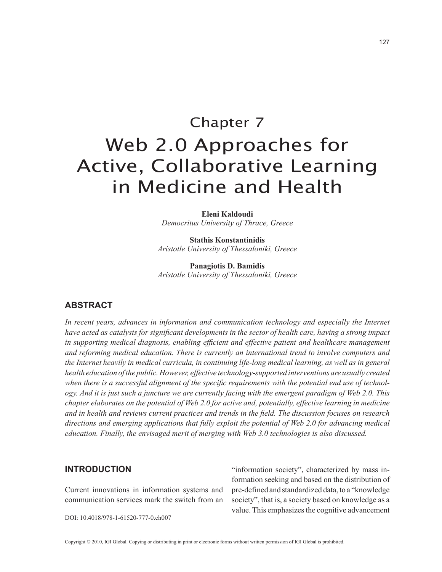# Chapter 7 Web 2.0 Approaches for Active, Collaborative Learning in Medicine and Health

**Eleni Kaldoudi** *Democritus University of Thrace, Greece*

**Stathis Konstantinidis** *Aristotle University of Thessaloniki, Greece*

**Panagiotis D. Bamidis** *Aristotle University of Thessaloniki, Greece*

## **ABsTRAcT**

In recent years, advances in information and communication technology and especially the Internet *have acted as catalysts for significant developments in the sector of health care, having a strong impact in supporting medical diagnosis, enabling efficient and effective patient and healthcare management and reforming medical education. There is currently an international trend to involve computers and the Internet heavily in medical curricula, in continuing life-long medical learning, as well as in general health education of the public. However, effective technology-supported interventions are usually created when there is a successful alignment of the specific requirements with the potential end use of technology. And it is just such a juncture we are currently facing with the emergent paradigm of Web 2.0. This chapter elaborates on the potential of Web 2.0 for active and, potentially, effective learning in medicine and in health and reviews current practices and trends in the field. The discussion focuses on research directions and emerging applications that fully exploit the potential of Web 2.0 for advancing medical education. Finally, the envisaged merit of merging with Web 3.0 technologies is also discussed.*

## **INTROdUcTION**

Current innovations in information systems and communication services mark the switch from an

DOI: 10.4018/978-1-61520-777-0.ch007

"information society", characterized by mass information seeking and based on the distribution of pre-defined and standardized data, to a "knowledge society", that is, a society based on knowledge as a value. This emphasizes the cognitive advancement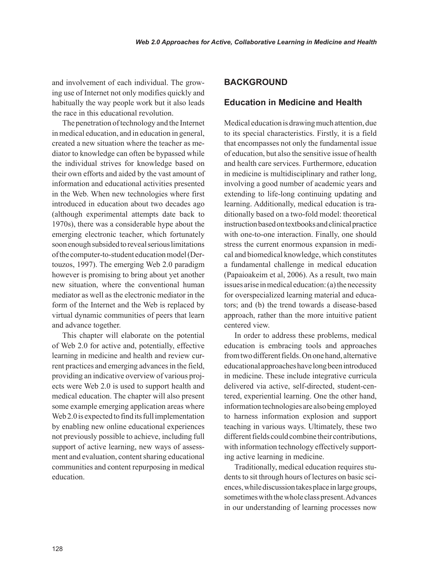and involvement of each individual. The growing use of Internet not only modifies quickly and habitually the way people work but it also leads the race in this educational revolution.

The penetration of technology and the Internet in medical education, and in education in general, created a new situation where the teacher as mediator to knowledge can often be bypassed while the individual strives for knowledge based on their own efforts and aided by the vast amount of information and educational activities presented in the Web. When new technologies where first introduced in education about two decades ago (although experimental attempts date back to 1970s), there was a considerable hype about the emerging electronic teacher, which fortunately soon enough subsided to reveal serious limitations of the computer-to-student education model (Dertouzos, 1997). The emerging Web 2.0 paradigm however is promising to bring about yet another new situation, where the conventional human mediator as well as the electronic mediator in the form of the Internet and the Web is replaced by virtual dynamic communities of peers that learn and advance together.

This chapter will elaborate on the potential of Web 2.0 for active and, potentially, effective learning in medicine and health and review current practices and emerging advances in the field, providing an indicative overview of various projects were Web 2.0 is used to support health and medical education. The chapter will also present some example emerging application areas where Web 2.0 is expected to find its full implementation by enabling new online educational experiences not previously possible to achieve, including full support of active learning, new ways of assessment and evaluation, content sharing educational communities and content repurposing in medical education.

## **BACKGROUND**

## **Education in medicine and Health**

Medical education is drawing much attention, due to its special characteristics. Firstly, it is a field that encompasses not only the fundamental issue of education, but also the sensitive issue of health and health care services. Furthermore, education in medicine is multidisciplinary and rather long, involving a good number of academic years and extending to life-long continuing updating and learning. Additionally, medical education is traditionally based on a two-fold model: theoretical instruction based on textbooks and clinical practice with one-to-one interaction. Finally, one should stress the current enormous expansion in medical and biomedical knowledge, which constitutes a fundamental challenge in medical education (Papaioakeim et al, 2006). As a result, two main issues arise in medical education: (a) the necessity for overspecialized learning material and educators; and (b) the trend towards a disease-based approach, rather than the more intuitive patient centered view.

In order to address these problems, medical education is embracing tools and approaches from two different fields. On one hand, alternative educational approaches have long been introduced in medicine. These include integrative curricula delivered via active, self-directed, student-centered, experiential learning. One the other hand, information technologies are also being employed to harness information explosion and support teaching in various ways. Ultimately, these two different fields could combine their contributions, with information technology effectively supporting active learning in medicine.

Traditionally, medical education requires students to sit through hours of lectures on basic sciences, while discussion takes place in large groups, sometimes with the whole class present. Advances in our understanding of learning processes now